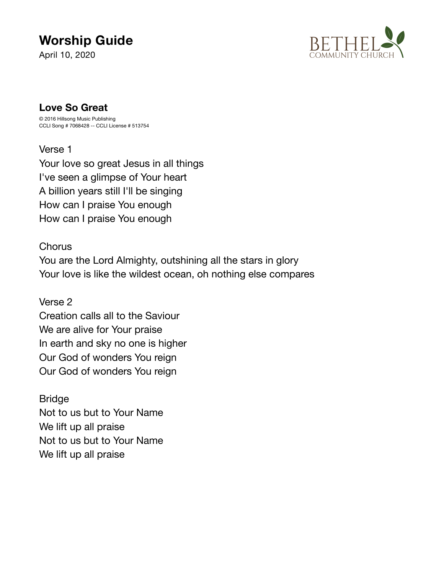April 10, 2020



### **Love So Great**

© 2016 Hillsong Music Publishing CCLI Song # 7068428 -- CCLI License # 513754

Verse 1 Your love so great Jesus in all things I've seen a glimpse of Your heart A billion years still I'll be singing How can I praise You enough How can I praise You enough

#### **Chorus**

You are the Lord Almighty, outshining all the stars in glory Your love is like the wildest ocean, oh nothing else compares

Verse 2

Creation calls all to the Saviour We are alive for Your praise In earth and sky no one is higher Our God of wonders You reign Our God of wonders You reign

**Bridge** Not to us but to Your Name We lift up all praise Not to us but to Your Name We lift up all praise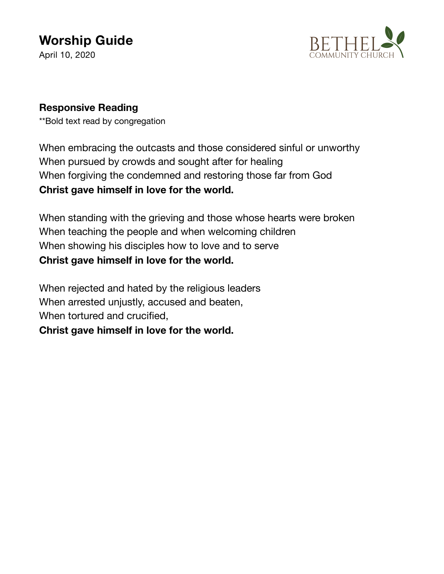April 10, 2020



### **Responsive Reading**

\*\*Bold text read by congregation

When embracing the outcasts and those considered sinful or unworthy When pursued by crowds and sought after for healing When forgiving the condemned and restoring those far from God **Christ gave himself in love for the world.** 

When standing with the grieving and those whose hearts were broken When teaching the people and when welcoming children When showing his disciples how to love and to serve **Christ gave himself in love for the world.** 

When rejected and hated by the religious leaders When arrested unjustly, accused and beaten, When tortured and crucified, **Christ gave himself in love for the world.**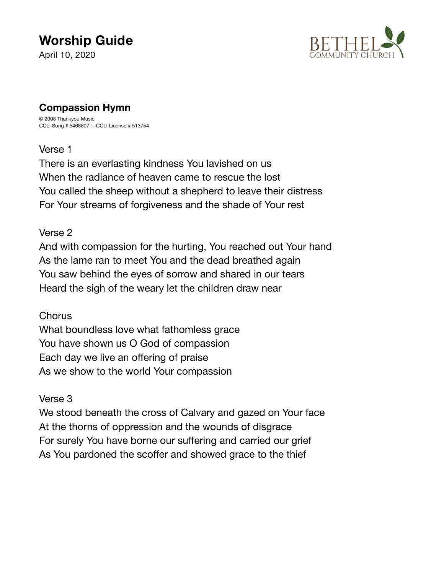April 10, 2020



### **Compassion Hymn**

© 2008 Thankyou Music CCLI Song # 5468807 -- CCLI License # 513754

Verse 1

There is an everlasting kindness You lavished on us When the radiance of heaven came to rescue the lost You called the sheep without a shepherd to leave their distress For Your streams of forgiveness and the shade of Your rest

#### Verse 2

And with compassion for the hurting, You reached out Your hand As the lame ran to meet You and the dead breathed again You saw behind the eyes of sorrow and shared in our tears Heard the sigh of the weary let the children draw near

#### **Chorus**

What boundless love what fathomless grace You have shown us O God of compassion Each day we live an offering of praise As we show to the world Your compassion

#### Verse 3

We stood beneath the cross of Calvary and gazed on Your face At the thorns of oppression and the wounds of disgrace For surely You have borne our suffering and carried our grief As You pardoned the scoffer and showed grace to the thief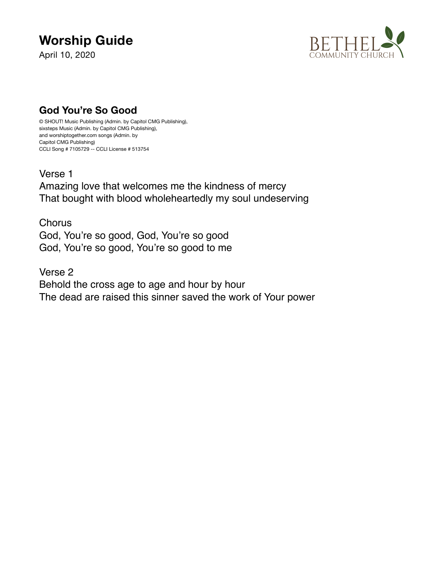April 10, 2020



## **God You're So Good**

© SHOUT! Music Publishing (Admin. by Capitol CMG Publishing), sixsteps Music (Admin. by Capitol CMG Publishing), and worshiptogether.com songs (Admin. by Capitol CMG Publishing) CCLI Song # 7105729 -- CCLI License # 513754

Verse 1

Amazing love that welcomes me the kindness of mercy That bought with blood wholeheartedly my soul undeserving

**Chorus** God, You're so good, God, You're so good God, You're so good, You're so good to me

Verse 2 Behold the cross age to age and hour by hour The dead are raised this sinner saved the work of Your power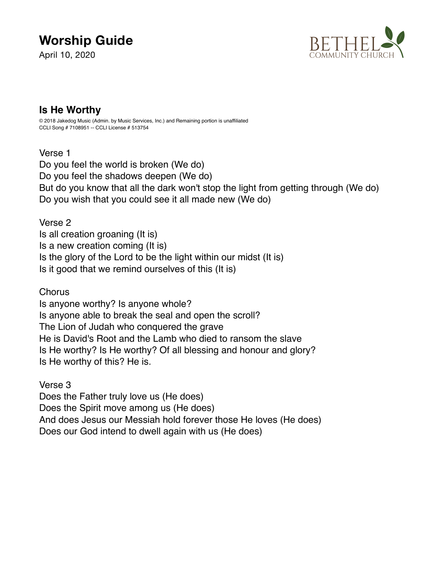April 10, 2020



### **Is He Worthy**

© 2018 Jakedog Music (Admin. by Music Services, Inc.) and Remaining portion is unaffiliated CCLI Song # 7108951 -- CCLI License # 513754

Verse 1 Do you feel the world is broken (We do) Do you feel the shadows deepen (We do) But do you know that all the dark won't stop the light from getting through (We do) Do you wish that you could see it all made new (We do)

Verse 2 Is all creation groaning (It is) Is a new creation coming (It is) Is the glory of the Lord to be the light within our midst (It is) Is it good that we remind ourselves of this (It is)

**Chorus** 

Is anyone worthy? Is anyone whole? Is anyone able to break the seal and open the scroll? The Lion of Judah who conquered the grave He is David's Root and the Lamb who died to ransom the slave Is He worthy? Is He worthy? Of all blessing and honour and glory? Is He worthy of this? He is.

Verse 3 Does the Father truly love us (He does) Does the Spirit move among us (He does) And does Jesus our Messiah hold forever those He loves (He does) Does our God intend to dwell again with us (He does)